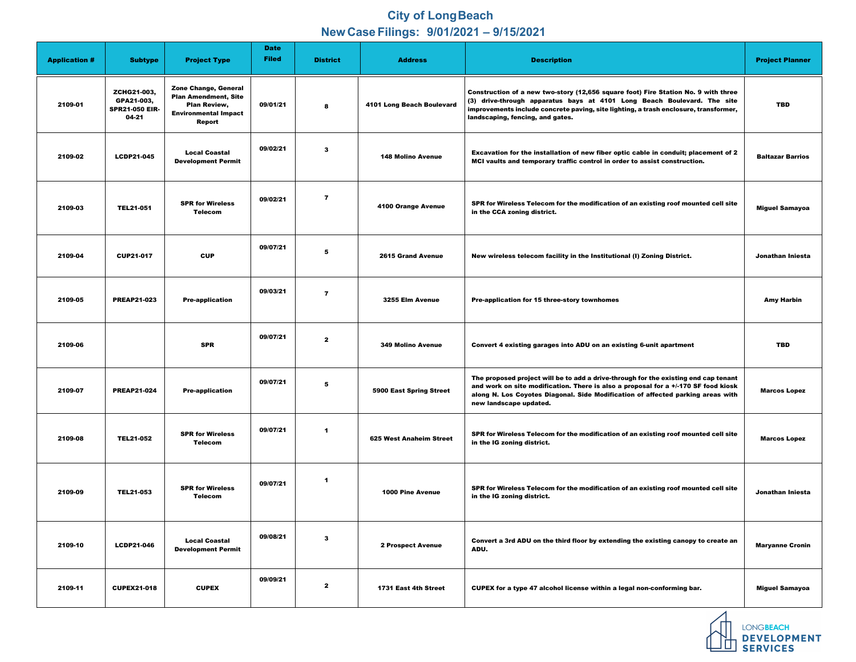## **City of Long Beach New Case Filings: 9/01/2021 – 9/15/2021**

| <b>Application #</b> | <b>Subtype</b>                                              | <b>Project Type</b>                                                                                                               | <b>Date</b><br><b>Filed</b> | <b>District</b>         | <b>Address</b>                 | <b>Description</b>                                                                                                                                                                                                                                                                        | <b>Project Planner</b>  |
|----------------------|-------------------------------------------------------------|-----------------------------------------------------------------------------------------------------------------------------------|-----------------------------|-------------------------|--------------------------------|-------------------------------------------------------------------------------------------------------------------------------------------------------------------------------------------------------------------------------------------------------------------------------------------|-------------------------|
| 2109-01              | ZCHG21-003,<br>GPA21-003,<br><b>SPR21-050 EIR-</b><br>04-21 | <b>Zone Change, General</b><br><b>Plan Amendment, Site</b><br><b>Plan Review,</b><br><b>Environmental Impact</b><br><b>Report</b> | 09/01/21                    | $\boldsymbol{8}$        | 4101 Long Beach Boulevard      | Construction of a new two-story (12,656 square foot) Fire Station No. 9 with three<br>(3) drive-through apparatus bays at 4101 Long Beach Boulevard. The site<br>improvements include concrete paving, site lighting, a trash enclosure, transformer,<br>landscaping, fencing, and gates. | <b>TBD</b>              |
| 2109-02              | <b>LCDP21-045</b>                                           | <b>Local Coastal</b><br><b>Development Permit</b>                                                                                 | 09/02/21                    | $\mathbf{3}$            | <b>148 Molino Avenue</b>       | Excavation for the installation of new fiber optic cable in conduit; placement of 2<br>MCI vaults and temporary traffic control in order to assist construction.                                                                                                                          | <b>Baltazar Barrios</b> |
| 2109-03              | <b>TEL21-051</b>                                            | <b>SPR for Wireless</b><br><b>Telecom</b>                                                                                         | 09/02/21                    | $\overline{\mathbf{7}}$ | <b>4100 Orange Avenue</b>      | SPR for Wireless Telecom for the modification of an existing roof mounted cell site<br>in the CCA zoning district.                                                                                                                                                                        | <b>Miguel Samayoa</b>   |
| 2109-04              | <b>CUP21-017</b>                                            | <b>CUP</b>                                                                                                                        | 09/07/21                    | $\overline{\mathbf{5}}$ | <b>2615 Grand Avenue</b>       | New wireless telecom facility in the Institutional (I) Zoning District.                                                                                                                                                                                                                   | Jonathan Iniesta        |
| 2109-05              | <b>PREAP21-023</b>                                          | <b>Pre-application</b>                                                                                                            | 09/03/21                    | $\overline{7}$          | 3255 Elm Avenue                | <b>Pre-application for 15 three-story townhomes</b>                                                                                                                                                                                                                                       | <b>Amy Harbin</b>       |
| 2109-06              |                                                             | <b>SPR</b>                                                                                                                        | 09/07/21                    | $\overline{\mathbf{2}}$ | <b>349 Molino Avenue</b>       | Convert 4 existing garages into ADU on an existing 6-unit apartment                                                                                                                                                                                                                       | <b>TBD</b>              |
| 2109-07              | <b>PREAP21-024</b>                                          | <b>Pre-application</b>                                                                                                            | 09/07/21                    | $5\phantom{1}$          | <b>5900 East Spring Street</b> | The proposed project will be to add a drive-through for the existing end cap tenant<br>and work on site modification. There is also a proposal for a +/-170 SF food kiosk<br>along N. Los Coyotes Diagonal. Side Modification of affected parking areas with<br>new landscape updated.    | <b>Marcos Lopez</b>     |
| 2109-08              | <b>TEL21-052</b>                                            | <b>SPR for Wireless</b><br><b>Telecom</b>                                                                                         | 09/07/21                    | $\overline{\mathbf{1}}$ | <b>625 West Anaheim Street</b> | SPR for Wireless Telecom for the modification of an existing roof mounted cell site<br>in the IG zoning district.                                                                                                                                                                         | <b>Marcos Lopez</b>     |
| 2109-09              | <b>TEL21-053</b>                                            | <b>SPR for Wireless</b><br><b>Telecom</b>                                                                                         | 09/07/21                    | -1                      | <b>1000 Pine Avenue</b>        | SPR for Wireless Telecom for the modification of an existing roof mounted cell site<br>in the IG zoning district.                                                                                                                                                                         | Jonathan Iniesta        |
| 2109-10              | <b>LCDP21-046</b>                                           | <b>Local Coastal</b><br><b>Development Permit</b>                                                                                 | 09/08/21                    | $\mathbf{3}$            | <b>2 Prospect Avenue</b>       | Convert a 3rd ADU on the third floor by extending the existing canopy to create an<br>ADU.                                                                                                                                                                                                | <b>Maryanne Cronin</b>  |
| 2109-11              | <b>CUPEX21-018</b>                                          | <b>CUPEX</b>                                                                                                                      | 09/09/21                    | $\mathbf{2}$            | 1731 East 4th Street           | CUPEX for a type 47 alcohol license within a legal non-conforming bar.                                                                                                                                                                                                                    | <b>Miguel Samayoa</b>   |



**AN LONGBEACH<br>DEVELOPMENT<br>DEVELOPMENT**